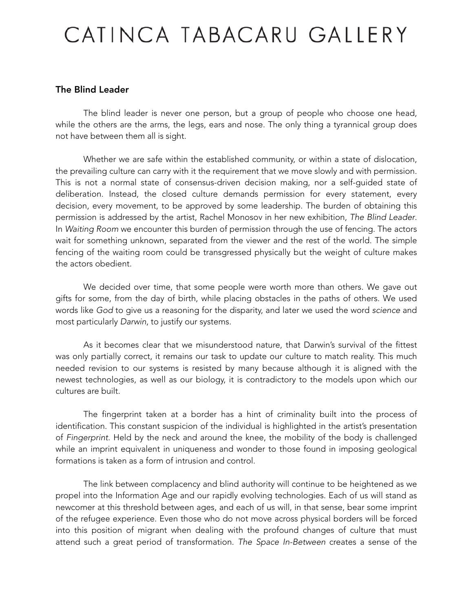## CATINCA TABACARU GALLERY

## The Blind Leader

 The blind leader is never one person, but a group of people who choose one head, while the others are the arms, the legs, ears and nose. The only thing a tyrannical group does not have between them all is sight.

 Whether we are safe within the established community, or within a state of dislocation, the prevailing culture can carry with it the requirement that we move slowly and with permission. This is not a normal state of consensus-driven decision making, nor a self-guided state of deliberation. Instead, the closed culture demands permission for every statement, every decision, every movement, to be approved by some leadership. The burden of obtaining this permission is addressed by the artist, Rachel Monosov in her new exhibition, *The Blind Leader*. In *Waiting Room* we encounter this burden of permission through the use of fencing. The actors wait for something unknown, separated from the viewer and the rest of the world. The simple fencing of the waiting room could be transgressed physically but the weight of culture makes the actors obedient.

 We decided over time, that some people were worth more than others. We gave out gifts for some, from the day of birth, while placing obstacles in the paths of others. We used words like *God* to give us a reasoning for the disparity, and later we used the word *science* and most particularly *Darwin*, to justify our systems.

 As it becomes clear that we misunderstood nature, that Darwin's survival of the fittest was only partially correct, it remains our task to update our culture to match reality. This much needed revision to our systems is resisted by many because although it is aligned with the newest technologies, as well as our biology, it is contradictory to the models upon which our cultures are built.

 The fingerprint taken at a border has a hint of criminality built into the process of identification. This constant suspicion of the individual is highlighted in the artist's presentation of *Fingerprint*. Held by the neck and around the knee, the mobility of the body is challenged while an imprint equivalent in uniqueness and wonder to those found in imposing geological formations is taken as a form of intrusion and control.

 The link between complacency and blind authority will continue to be heightened as we propel into the Information Age and our rapidly evolving technologies. Each of us will stand as newcomer at this threshold between ages, and each of us will, in that sense, bear some imprint of the refugee experience. Even those who do not move across physical borders will be forced into this position of migrant when dealing with the profound changes of culture that must attend such a great period of transformation. *The Space In-Between* creates a sense of the